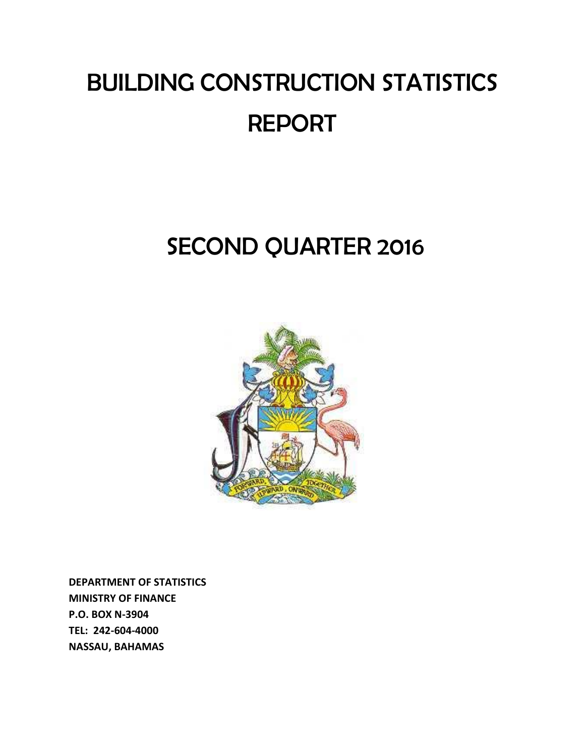# BUILDING CONSTRUCTION STATISTICS REPORT

## SECOND QUARTER 2016



**DEPARTMENT OF STATISTICS MINISTRY OF FINANCE P.O. BOX N-3904 TEL: 242-604-4000 NASSAU, BAHAMAS**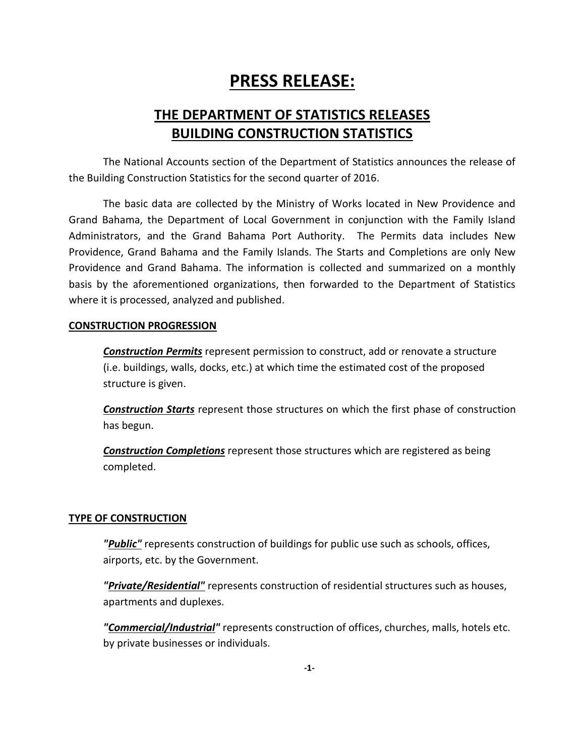## **PRESS RELEASE:**

### **THE DEPARTMENT OF STATISTICS RELEASES BUILDING CONSTRUCTION STATISTICS**

The National Accounts section of the Department of Statistics announces the release of the Building Construction Statistics for the second quarter of 2016.

The basic data are collected by the Ministry of Works located in New Providence and Grand Bahama, the Department of Local Government in conjunction with the Family Island Administrators, and the Grand Bahama Port Authority. The Permits data includes New Providence, Grand Bahama and the Family Islands. The Starts and Completions are only New Providence and Grand Bahama. The information is collected and summarized on a monthly basis by the aforementioned organizations, then forwarded to the Department of Statistics where it is processed, analyzed and published.

#### **CONSTRUCTION PROGRESSION**

*Construction Permits* represent permission to construct, add or renovate a structure (i.e. buildings, walls, docks, etc.) at which time the estimated cost of the proposed structure is given.

*Construction Starts* represent those structures on which the first phase of construction has begun.

*Construction Completions* represent those structures which are registered as being completed.

#### **TYPE OF CONSTRUCTION**

*"Public"* represents construction of buildings for public use such as schools, offices, airports, etc. by the Government.

*"Private/Residential"* represents construction of residential structures such as houses, apartments and duplexes.

*"Commercial/Industrial"* represents construction of offices, churches, malls, hotels etc. by private businesses or individuals.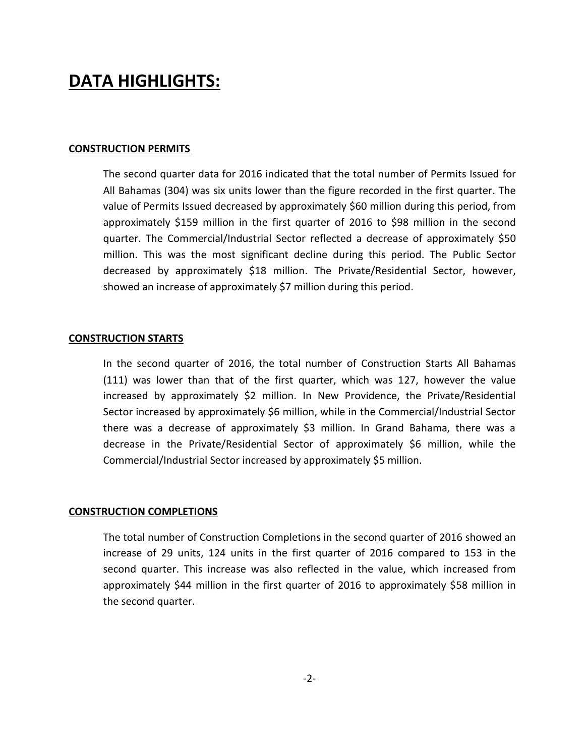## **DATA HIGHLIGHTS:**

#### **CONSTRUCTION PERMITS**

The second quarter data for 2016 indicated that the total number of Permits Issued for All Bahamas (304) was six units lower than the figure recorded in the first quarter. The value of Permits Issued decreased by approximately \$60 million during this period, from approximately \$159 million in the first quarter of 2016 to \$98 million in the second quarter. The Commercial/Industrial Sector reflected a decrease of approximately \$50 million. This was the most significant decline during this period. The Public Sector decreased by approximately \$18 million. The Private/Residential Sector, however, showed an increase of approximately \$7 million during this period.

#### **CONSTRUCTION STARTS**

In the second quarter of 2016, the total number of Construction Starts All Bahamas (111) was lower than that of the first quarter, which was 127, however the value increased by approximately \$2 million. In New Providence, the Private/Residential Sector increased by approximately \$6 million, while in the Commercial/Industrial Sector there was a decrease of approximately \$3 million. In Grand Bahama, there was a decrease in the Private/Residential Sector of approximately \$6 million, while the Commercial/Industrial Sector increased by approximately \$5 million.

#### **CONSTRUCTION COMPLETIONS**

The total number of Construction Completions in the second quarter of 2016 showed an increase of 29 units, 124 units in the first quarter of 2016 compared to 153 in the second quarter. This increase was also reflected in the value, which increased from approximately \$44 million in the first quarter of 2016 to approximately \$58 million in the second quarter.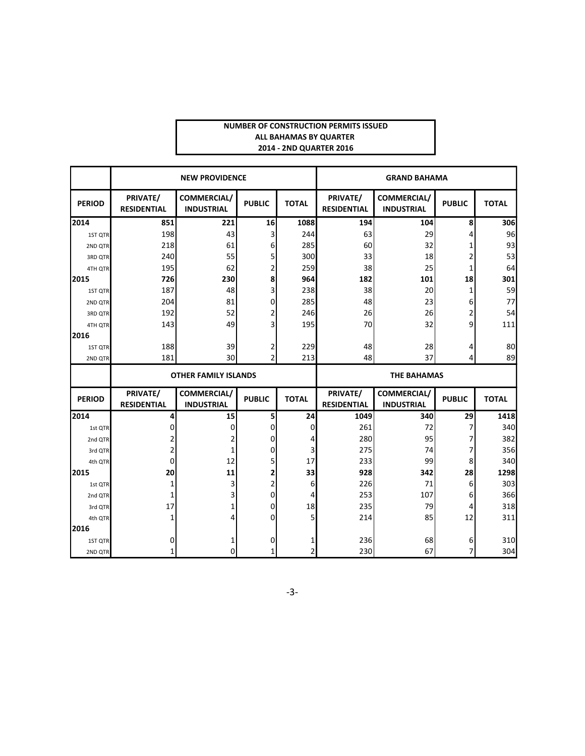#### **NUMBER OF CONSTRUCTION PERMITS ISSUED ALL BAHAMAS BY QUARTER 2014 - 2ND QUARTER 2016**

|               |                                | <b>NEW PROVIDENCE</b>            |               | <b>GRAND BAHAMA</b> |                                |                                                          |               |              |  |  |  |
|---------------|--------------------------------|----------------------------------|---------------|---------------------|--------------------------------|----------------------------------------------------------|---------------|--------------|--|--|--|
| <b>PERIOD</b> | PRIVATE/<br><b>RESIDENTIAL</b> | COMMERCIAL/<br><b>INDUSTRIAL</b> | <b>PUBLIC</b> | <b>TOTAL</b>        | PRIVATE/<br><b>RESIDENTIAL</b> | <b>COMMERCIAL/</b><br><b>PUBLIC</b><br><b>INDUSTRIAL</b> |               | <b>TOTAL</b> |  |  |  |
| 2014          | 851                            | 221                              | 16            | 1088                | 194                            | 104                                                      | 8             | 306          |  |  |  |
| 1ST QTR       | 198                            | 43                               | 3             | 244                 | 63                             | 29                                                       | 4             | 96           |  |  |  |
| 2ND QTR       | 218                            | 61                               | 6             | 285                 | 60                             | 32                                                       | 1             | 93           |  |  |  |
| 3RD QTR       | 240                            | 55                               | 5             | 300                 | 33                             | 18                                                       | 2             | 53           |  |  |  |
| 4TH QTR       | 195                            | 62                               | 2             | 259                 | 38                             | 25                                                       | 1             | 64           |  |  |  |
| 2015          | 726                            | 230                              | 8             | 964                 | 182                            | 101                                                      | 18            | 301          |  |  |  |
| 1ST QTR       | 187                            | 48                               | 3             | 238                 | 38                             | 20                                                       | 1             | 59           |  |  |  |
| 2ND QTR       | 204                            | 81                               | 0             | 285                 | 48                             | 23                                                       | 6             | 77           |  |  |  |
| 3RD QTR       | 192                            | 52                               | 2             | 246                 | 26                             | 26                                                       | 2             | 54           |  |  |  |
| 4TH QTR       | 143                            | 49                               | 3             | 195                 | 70                             | 32                                                       | 9             | 111          |  |  |  |
| 2016          |                                |                                  |               |                     |                                |                                                          |               |              |  |  |  |
| 1ST QTR       | 188                            | 39                               | 2             | 229                 | 48                             | 28                                                       | 4             | 80           |  |  |  |
| 2ND QTR       | 181                            | 30                               | 2             | 213                 | 48                             | 37                                                       | 4             | 89           |  |  |  |
|               |                                | <b>OTHER FAMILY ISLANDS</b>      |               |                     | <b>THE BAHAMAS</b>             |                                                          |               |              |  |  |  |
| <b>PERIOD</b> | PRIVATE/<br><b>RESIDENTIAL</b> | COMMERCIAL/<br><b>INDUSTRIAL</b> | <b>PUBLIC</b> | <b>TOTAL</b>        | PRIVATE/<br><b>RESIDENTIAL</b> | COMMERCIAL/<br><b>INDUSTRIAL</b>                         | <b>PUBLIC</b> | <b>TOTAL</b> |  |  |  |
| 2014          | 4                              | 15                               | 5             | 24                  | 1049                           | 340                                                      | 29            | 1418         |  |  |  |
| 1st QTR       | 0                              | 0                                | 0             | 0                   | 261                            | 72                                                       | 7             | 340          |  |  |  |
| 2nd QTR       | 2                              | 2                                | 0             | 4                   | 280                            | 95                                                       | 7             | 382          |  |  |  |
| 3rd QTR       | 2                              | $\mathbf{1}$                     | 0             | 3                   | 275                            | 74                                                       | 7             | 356          |  |  |  |
| 4th QTR       | $\Omega$                       | 12                               | 5             | 17                  | 233                            | 99                                                       | 8             | 340          |  |  |  |
| 2015          | 20                             | 11                               | 2             | 33                  | 928                            | 342                                                      | 28            | 1298         |  |  |  |
| 1st QTR       | 1                              | 3                                | 2             | 6                   | 226                            | 71                                                       | 6             | 303          |  |  |  |
| 2nd QTR       | 1                              | 3                                | 0             | 4                   | 253                            | 107                                                      | 6             | 366          |  |  |  |
| 3rd QTR       | 17                             | 1                                | 0             | 18                  | 235                            | 79                                                       | 4             | 318          |  |  |  |
| 4th QTR       | 1                              | 4                                | 0             | 5                   | 214                            | 85                                                       | 12            | 311          |  |  |  |
| 2016          |                                |                                  |               |                     |                                |                                                          |               |              |  |  |  |
|               |                                |                                  |               |                     |                                |                                                          |               |              |  |  |  |
| 1ST QTR       | 0                              | 1                                | 0             | 1                   | 236                            | 68                                                       | 6             | 310          |  |  |  |

-3-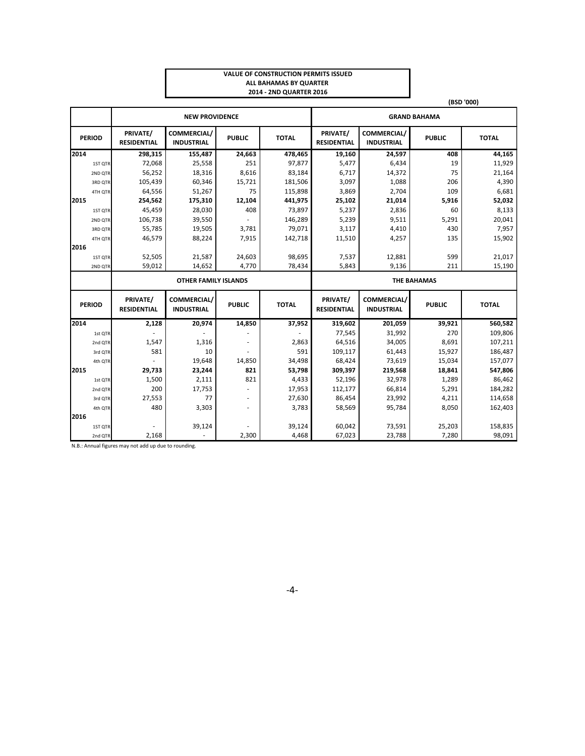#### **VALUE OF CONSTRUCTION PERMITS ISSUED ALL BAHAMAS BY QUARTER 2014 - 2ND QUARTER 2016**

|      |               | (BSD '000)                     |                                  |               |              |                                |                                  |                    |              |  |  |
|------|---------------|--------------------------------|----------------------------------|---------------|--------------|--------------------------------|----------------------------------|--------------------|--------------|--|--|
|      |               |                                | <b>GRAND BAHAMA</b>              |               |              |                                |                                  |                    |              |  |  |
|      | <b>PERIOD</b> | PRIVATE/<br><b>RESIDENTIAL</b> | COMMERCIAL/<br><b>INDUSTRIAL</b> | <b>PUBLIC</b> | <b>TOTAL</b> | PRIVATE/<br><b>RESIDENTIAL</b> | COMMERCIAL/<br><b>INDUSTRIAL</b> | <b>PUBLIC</b>      | <b>TOTAL</b> |  |  |
| 2014 |               | 298,315                        | 155,487                          | 24,663        | 478,465      | 19,160                         | 24,597                           | 408                | 44,165       |  |  |
|      | 1ST QTR       | 72,068                         | 25,558                           | 251           | 97,877       | 5,477                          | 6,434                            | 19                 | 11,929       |  |  |
|      | 2ND QTR       | 56,252                         | 18,316                           | 8,616         | 83,184       | 6,717                          | 14,372                           | 75                 | 21,164       |  |  |
|      | 3RD QTR       | 105,439                        | 60,346                           | 15,721        | 181,506      | 3,097                          | 1,088                            | 206                | 4,390        |  |  |
|      | 4TH QTR       | 64,556                         | 51,267                           | 75            | 115,898      | 3,869                          | 2,704                            | 109                | 6,681        |  |  |
| 2015 |               | 254,562                        | 175,310                          | 12,104        | 441,975      | 25,102                         | 21,014                           | 5,916              | 52,032       |  |  |
|      | 1ST QTR       | 45,459                         | 28,030                           | 408           | 73,897       | 5,237                          | 2,836                            | 60                 | 8,133        |  |  |
|      | 2ND QTR       | 106,738                        | 39,550                           |               | 146,289      | 5,239                          | 9,511                            | 5,291              | 20,041       |  |  |
|      | 3RD QTR       | 55,785                         | 19,505                           | 3,781         | 79,071       | 3,117                          | 4,410                            | 430                | 7,957        |  |  |
|      | 4TH QTR       | 46,579                         | 88,224                           | 7,915         | 142,718      | 11,510                         | 4,257                            | 135                | 15,902       |  |  |
| 2016 |               |                                |                                  |               |              |                                |                                  |                    |              |  |  |
|      | 1ST QTR       | 52,505                         | 21,587                           | 24,603        | 98,695       | 7,537                          | 12,881                           | 599                | 21,017       |  |  |
|      | 2ND QTR       | 59,012                         | 14,652                           | 4,770         | 78,434       | 5,843                          | 9,136                            | 211                | 15,190       |  |  |
|      |               |                                |                                  |               |              |                                |                                  |                    |              |  |  |
|      |               |                                | <b>OTHER FAMILY ISLANDS</b>      |               |              |                                |                                  | <b>THE BAHAMAS</b> |              |  |  |
|      | <b>PERIOD</b> | PRIVATE/<br><b>RESIDENTIAL</b> | COMMERCIAL/<br><b>INDUSTRIAL</b> | <b>PUBLIC</b> | <b>TOTAL</b> | PRIVATE/<br><b>RESIDENTIAL</b> | COMMERCIAL/<br><b>INDUSTRIAL</b> | <b>PUBLIC</b>      | <b>TOTAL</b> |  |  |
| 2014 |               | 2,128                          | 20,974                           | 14,850        | 37,952       | 319,602                        | 201,059                          | 39,921             | 560,582      |  |  |
|      | 1st QTR       |                                |                                  |               |              | 77,545                         | 31,992                           | 270                | 109,806      |  |  |
|      | 2nd QTR       | 1,547                          | 1,316                            |               | 2,863        | 64,516                         | 34,005                           | 8,691              | 107,211      |  |  |
|      | 3rd QTR       | 581                            | 10                               |               | 591          | 109,117                        | 61,443                           | 15,927             | 186,487      |  |  |
|      | 4th QTR       |                                | 19,648                           | 14,850        | 34,498       | 68,424                         | 73,619                           | 15,034             | 157,077      |  |  |
| 2015 |               | 29,733                         | 23,244                           | 821           | 53,798       | 309,397                        | 219,568                          | 18,841             | 547,806      |  |  |
|      | 1st QTR       | 1,500                          | 2,111                            | 821           | 4,433        | 52,196                         | 32,978                           | 1,289              | 86,462       |  |  |
|      | 2nd QTR       | 200                            | 17,753                           |               | 17,953       | 112,177                        | 66,814                           | 5,291              | 184,282      |  |  |
|      | 3rd QTR       | 27,553                         | 77                               |               | 27,630       | 86,454                         | 23,992                           | 4,211              | 114,658      |  |  |
|      | 4th QTR       | 480                            | 3,303                            |               | 3,783        | 58,569                         | 95,784                           | 8,050              | 162,403      |  |  |
| 2016 |               |                                |                                  |               |              |                                |                                  |                    |              |  |  |
|      | 1ST QTR       |                                | 39,124                           | 2,300         | 39,124       | 60,042                         | 73,591<br>23,788                 | 25,203             | 158,835      |  |  |

N.B.: Annual figures may not add up due to rounding.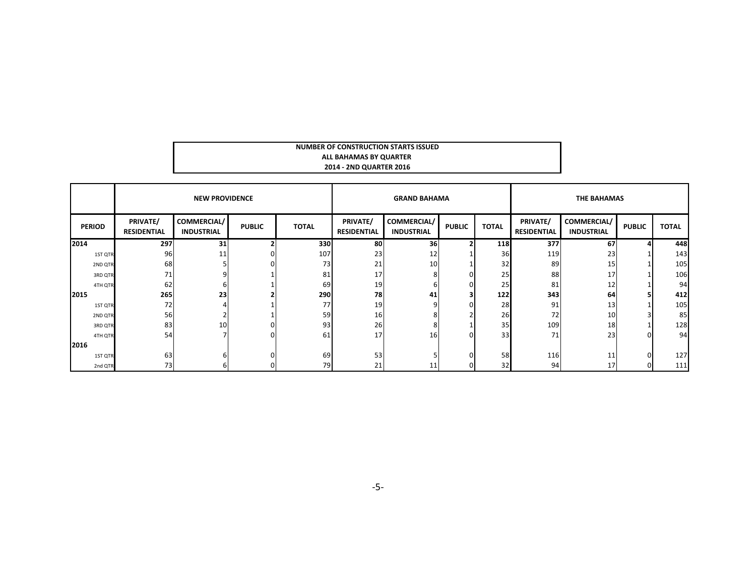| NUMBER OF CONSTRUCTION STARTS ISSUED |  |
|--------------------------------------|--|
| ALL BAHAMAS BY QUARTER               |  |
| 2014 - 2ND QUARTER 2016              |  |

|               |                                | <b>NEW PROVIDENCE</b>            |               |              |                                | <b>GRAND BAHAMA</b>                     |               |              | <b>THE BAHAMAS</b>             |                                         |               |              |  |
|---------------|--------------------------------|----------------------------------|---------------|--------------|--------------------------------|-----------------------------------------|---------------|--------------|--------------------------------|-----------------------------------------|---------------|--------------|--|
| <b>PERIOD</b> | PRIVATE/<br><b>RESIDENTIAL</b> | COMMERCIAL/<br><b>INDUSTRIAL</b> | <b>PUBLIC</b> | <b>TOTAL</b> | PRIVATE/<br><b>RESIDENTIAL</b> | <b>COMMERCIAL/</b><br><b>INDUSTRIAL</b> | <b>PUBLIC</b> | <b>TOTAL</b> | PRIVATE/<br><b>RESIDENTIAL</b> | <b>COMMERCIAL/</b><br><b>INDUSTRIAL</b> | <b>PUBLIC</b> | <b>TOTAL</b> |  |
| 2014          | 297                            | 31                               |               | 330          | 80                             | 36                                      |               | 118          | 377                            | 67                                      |               | 448          |  |
| 1ST QTR       | 96                             | 11                               |               | 107          | 23                             | 12                                      |               | 36           | 119                            | 23                                      |               | 143          |  |
| 2ND QTR       | 68                             |                                  |               | 73           | 21                             | 10                                      |               | 32           | 89                             | 15                                      |               | 105          |  |
| 3RD QTR       | 71                             |                                  |               | 81           | 17                             | ጸ                                       |               | 25           | 88                             | 17                                      |               | 106          |  |
| 4TH QTR       | 62                             |                                  |               | 69           | 19                             | 6                                       |               | 25           | 81                             | 12                                      |               | 94           |  |
| 2015          | 265                            | 23                               |               | 290          | 78                             | 41                                      |               | 122          | 343                            | 64                                      |               | 412          |  |
| 1ST QTR       | 72                             |                                  |               | 77           | 19                             | Ω                                       |               | 28           | 91                             | 13 <sup>1</sup>                         |               | 105          |  |
| 2ND QTR       | 56                             |                                  |               | 59           | 16                             |                                         |               | 26           | 72                             | 10                                      |               | 85           |  |
| 3RD QTR       | 83                             | 10                               |               | 93           | 26                             | ጸ                                       |               | 35           | 109                            | 18                                      |               | 128          |  |
| 4TH QTR       | 54                             |                                  |               | 61           | 17                             | 16                                      |               | 33           | 71                             | 23                                      | $\Omega$      | 94           |  |
| 2016          |                                |                                  |               |              |                                |                                         |               |              |                                |                                         |               |              |  |
| 1ST QTR       | 63                             |                                  |               | 69           | 53                             |                                         |               | 58           | 116                            | 11                                      | $\Omega$      | 127          |  |
| 2nd QTR       | 73                             |                                  |               | 79           | 21                             | 11                                      |               | 32           | 94                             | 17                                      |               | 111          |  |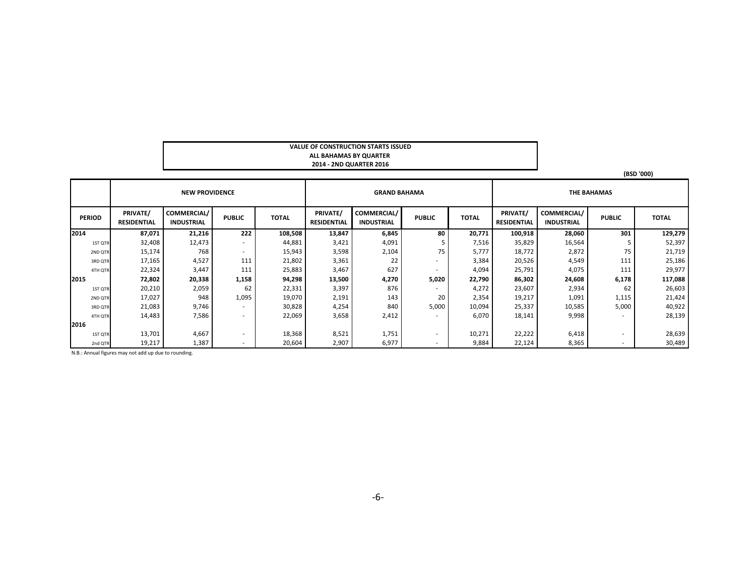#### **VALUE OF CONSTRUCTION STARTS ISSUED ALL BAHAMAS BY QUARTER 2014 - 2ND QUARTER 2016**

|               |                                |                                  |               |              |                                |                                  |               |              |                                | (BSD '000)                              |               |              |  |
|---------------|--------------------------------|----------------------------------|---------------|--------------|--------------------------------|----------------------------------|---------------|--------------|--------------------------------|-----------------------------------------|---------------|--------------|--|
|               |                                | <b>NEW PROVIDENCE</b>            |               |              |                                | <b>GRAND BAHAMA</b>              |               |              | <b>THE BAHAMAS</b>             |                                         |               |              |  |
| <b>PERIOD</b> | PRIVATE/<br><b>RESIDENTIAL</b> | COMMERCIAL/<br><b>INDUSTRIAL</b> | <b>PUBLIC</b> | <b>TOTAL</b> | PRIVATE/<br><b>RESIDENTIAL</b> | COMMERCIAL/<br><b>INDUSTRIAL</b> | <b>PUBLIC</b> | <b>TOTAL</b> | PRIVATE/<br><b>RESIDENTIAL</b> | <b>COMMERCIAL/</b><br><b>INDUSTRIAL</b> | <b>PUBLIC</b> | <b>TOTAL</b> |  |
| 2014          | 87,071                         | 21,216                           | 222           | 108,508      | 13,847                         | 6,845                            | 80            | 20,771       | 100,918                        | 28,060                                  | 301           | 129,279      |  |
| 1ST QTR       | 32,408                         | 12,473                           | <b>м.</b>     | 44,881       | 3,421                          | 4,091                            | 5             | 7,516        | 35,829                         | 16,564                                  |               | 52,397       |  |
| 2ND QTR       | 15,174                         | 768                              | $\sim$        | 15,943       | 3,598                          | 2,104                            | 75            | 5,777        | 18,772                         | 2,872                                   | 75            | 21,719       |  |
| 3RD QTR       | 17,165                         | 4,527                            | 111           | 21,802       | 3,361                          | 22                               | $\sim$        | 3,384        | 20,526                         | 4,549                                   | 111           | 25,186       |  |
| 4TH QTR       | 22,324                         | 3,447                            | 111           | 25,883       | 3,467                          | 627                              | $\sim$        | 4,094        | 25,791                         | 4,075                                   | 111           | 29,977       |  |
| 2015          | 72,802                         | 20,338                           | 1,158         | 94,298       | 13,500                         | 4,270                            | 5,020         | 22,790       | 86,302                         | 24,608                                  | 6,178         | 117,088      |  |
| 1ST QTR       | 20,210                         | 2,059                            | 62            | 22,331       | 3,397                          | 876                              | ٠             | 4,272        | 23,607                         | 2,934                                   | 62            | 26,603       |  |
| 2ND QTR       | 17,027                         | 948                              | 1,095         | 19,070       | 2,191                          | 143                              | 20            | 2,354        | 19,217                         | 1,091                                   | 1,115         | 21,424       |  |
| 3RD QTR       | 21,083                         | 9,746                            | $\sim$        | 30,828       | 4,254                          | 840                              | 5,000         | 10,094       | 25,337                         | 10,585                                  | 5,000         | 40,922       |  |
| 4TH QTR       | 14,483                         | 7,586                            |               | 22,069       | 3,658                          | 2,412                            | $\sim$        | 6,070        | 18,141                         | 9,998                                   | ٠             | 28,139       |  |
| 2016          |                                |                                  |               |              |                                |                                  |               |              |                                |                                         |               |              |  |
| 1ST QTR       | 13,701                         | 4,667                            | . .           | 18,368       | 8,521                          | 1,751                            | $\sim$        | 10,271       | 22,222                         | 6,418                                   | ۰.            | 28,639       |  |
| 2nd QTR       | 19,217                         | 1,387                            |               | 20,604       | 2,907                          | 6,977                            | $\sim$        | 9,884        | 22,124                         | 8,365                                   | ۰.            | 30,489       |  |

N.B.: Annual figures may not add up due to rounding.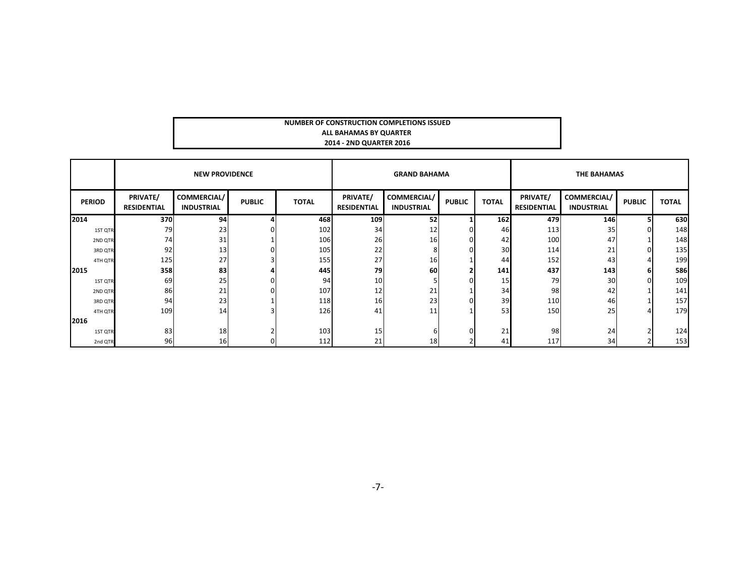#### **NUMBER OF CONSTRUCTION COMPLETIONS ISSUED ALL BAHAMAS BY QUARTER 2014 - 2ND QUARTER 2016**

|               |                                | <b>NEW PROVIDENCE</b>                   |               |              |                                | <b>GRAND BAHAMA</b>                     |                |              | <b>THE BAHAMAS</b>             |                                  |               |              |  |
|---------------|--------------------------------|-----------------------------------------|---------------|--------------|--------------------------------|-----------------------------------------|----------------|--------------|--------------------------------|----------------------------------|---------------|--------------|--|
| <b>PERIOD</b> | PRIVATE/<br><b>RESIDENTIAL</b> | <b>COMMERCIAL/</b><br><b>INDUSTRIAL</b> | <b>PUBLIC</b> | <b>TOTAL</b> | PRIVATE/<br><b>RESIDENTIAL</b> | <b>COMMERCIAL/</b><br><b>INDUSTRIAL</b> | <b>PUBLIC</b>  | <b>TOTAL</b> | PRIVATE/<br><b>RESIDENTIAL</b> | COMMERCIAL/<br><b>INDUSTRIAL</b> | <b>PUBLIC</b> | <b>TOTAL</b> |  |
| 2014          | 370                            | 94                                      |               | 468          | 109                            | 52                                      |                | 162          | 479                            | 146                              | 5             | 630          |  |
| 1ST QTR       | 79                             | 23                                      |               | 102          | 34                             | 12                                      | $\overline{0}$ | 46           | 113                            | 35 <sub>1</sub>                  |               | 148          |  |
| 2ND QTR       | 74                             | 31                                      |               | 106          | 26                             | 16                                      | 01             | 42           | 100                            | 47                               |               | 148          |  |
| 3RD QTR       | 92                             | 13                                      |               | 105          | 22                             | 8                                       | 01             | 30           | 114                            | 21                               |               | 135          |  |
| 4TH QTR       | 125                            | 27                                      |               | 155          | 27                             | 16                                      |                | 44           | 152                            | 43                               |               | 199          |  |
| 2015          | 358                            | 83                                      |               | 445          | 79                             | 60                                      | $\mathbf{2}$   | 141          | 437                            | 143                              | 6             | 586          |  |
| 1ST QTR       | 69                             | 25                                      |               | 94           | 10                             |                                         | 01             | 15           | 79                             | 30 <sup>1</sup>                  |               | 109          |  |
| 2ND QTR       | 86                             | 21                                      |               | 107          | 12                             | 21                                      |                | 34           | 98                             | 42                               |               | 141          |  |
| 3RD QTR       | 94                             | 23                                      |               | 118          | 16                             | 23                                      | 01             | 39           | 110                            | 46                               |               | 157          |  |
| 4TH QTR       | 109                            | 14                                      |               | 126          | 41                             | 11                                      |                | 53           | 150                            | 25                               |               | 179          |  |
| 2016          |                                |                                         |               |              |                                |                                         |                |              |                                |                                  |               |              |  |
| 1ST QTR       | 83                             | 18                                      |               | 103          | 15 <sub>1</sub>                | h                                       | $\Omega$       | 21           | 98                             | 24                               |               | 124          |  |
| 2nd QTR       | 96                             | 16                                      |               | 112          | 21                             | 18                                      |                | 41           | 117                            | 34                               |               | 153          |  |